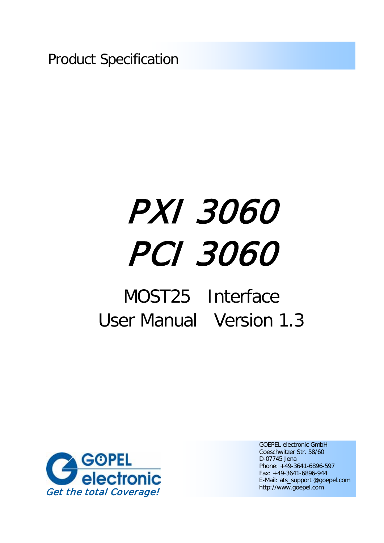Product Specification

# PXI 3060 PCI 3060

## MOST25 Interface User Manual Version 1.3



GOEPEL electronic GmbH Goeschwitzer Str. 58/60 D-07745 Jena Phone: +49-3641-6896-597 Fax: +49-3641-6896-944 E-Mail: ats\_support @goepel.com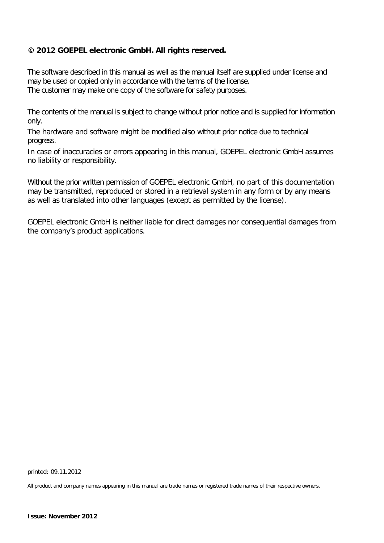#### **© 2012 GOEPEL electronic GmbH. All rights reserved.**

The software described in this manual as well as the manual itself are supplied under license and may be used or copied only in accordance with the terms of the license. The customer may make one copy of the software for safety purposes.

The contents of the manual is subject to change without prior notice and is supplied for information only.

The hardware and software might be modified also without prior notice due to technical progress.

In case of inaccuracies or errors appearing in this manual, GOEPEL electronic GmbH assumes no liability or responsibility.

Without the prior written permission of GOEPEL electronic GmbH, no part of this documentation may be transmitted, reproduced or stored in a retrieval system in any form or by any means as well as translated into other languages (except as permitted by the license).

GOEPEL electronic GmbH is neither liable for direct damages nor consequential damages from the company's product applications.

printed: 09.11.2012

All product and company names appearing in this manual are trade names or registered trade names of their respective owners.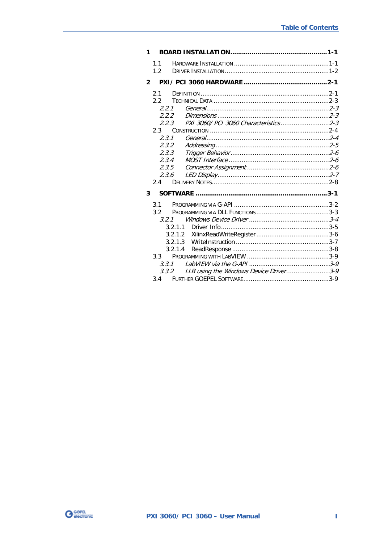| 1              |                                                 |  |
|----------------|-------------------------------------------------|--|
|                | 1.1                                             |  |
|                | 1.2                                             |  |
| $\mathfrak{p}$ |                                                 |  |
|                | 2.1                                             |  |
|                | 2.2                                             |  |
|                | 2.2.1                                           |  |
|                | 2.2.2                                           |  |
|                | PXI 3060/ PCI 3060 Characteristics2-3<br>2.2.3  |  |
|                | $2.3 -$                                         |  |
|                | 2.3.1                                           |  |
|                | 2.3.2                                           |  |
|                | 2.3.3                                           |  |
|                | 2.3.4                                           |  |
|                | 2.3.5                                           |  |
|                | 2.3.6                                           |  |
|                | 2.4                                             |  |
| 3              |                                                 |  |
|                | 3.1                                             |  |
|                | 3.2                                             |  |
|                | 3.2.1                                           |  |
|                | 3.2.1.1                                         |  |
|                |                                                 |  |
|                | 3.2.1.3                                         |  |
|                | 3.2.1.4                                         |  |
|                | $3.3 -$                                         |  |
|                | 3.3.1                                           |  |
|                | LLB using the Windows Device Driver3-9<br>3.3.2 |  |
|                |                                                 |  |

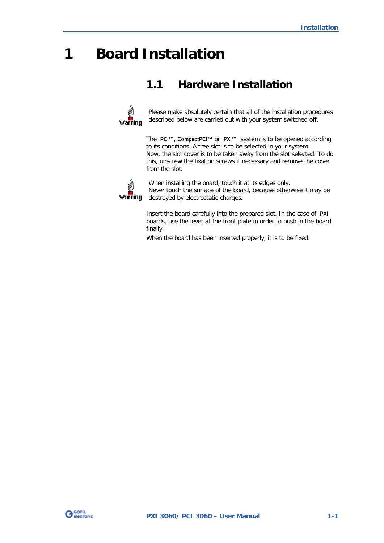## <span id="page-4-0"></span>**1 Board Installation**

## <span id="page-4-1"></span>**1.1 Hardware Installation**



Please make absolutely certain that all of the installation procedures described below are carried out with your system switched off.

The **PCI™**, **CompactPCI™** or **PXI™** system is to be opened according to its conditions. A free slot is to be selected in your system. Now, the slot cover is to be taken away from the slot selected. To do this, unscrew the fixation screws if necessary and remove the cover from the slot.



When installing the board, touch it at its edges only. Never touch the surface of the board, because otherwise it may be destroyed by electrostatic charges.

Insert the board carefully into the prepared slot. In the case of **PXI** boards, use the lever at the front plate in order to push in the board finally.

When the board has been inserted properly, it is to be fixed.

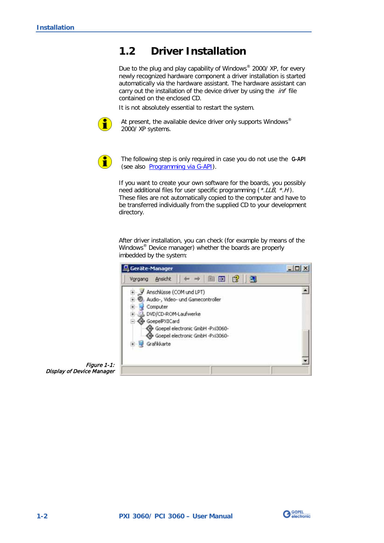## <span id="page-5-0"></span>**1.2 Driver Installation**

Due to the plug and play capability of Windows® 2000/ XP, for every newly recognized hardware component a driver installation is started automatically via the hardware assistant. The hardware assistant can carry out the installation of the device driver by using the *inf* file contained on the enclosed CD.

It is not absolutely essential to restart the system.



At present, the available device driver only supports Windows<sup>®</sup> 2000/ XP systems.



The following step is only required in case you do not use the **G-API** (see also [Programming via G-API\)](#page-15-0).

If you want to create your own software for the boards, you possibly need additional files for user specific programming  $(*.LLB, *H).$ These files are not automatically copied to the computer and have to be transferred individually from the supplied CD to your development directory.

After driver installation, you can check (for example by means of the Windows® Device manager) whether the boards are properly imbedded by the system:



Figure 1-1: Display of Device Manager

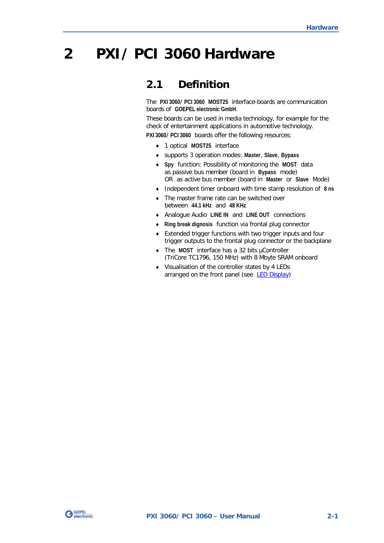## <span id="page-6-0"></span>**2 PXI/ PCI 3060 Hardware**

## <span id="page-6-1"></span>**2.1 Definition**

The **PXI 3060**/ **PCI 3060 MOST25** interface-boards are communication boards of **GOEPEL electronic GmbH**.

These boards can be used in media technology, for example for the check of entertainment applications in automotive technology.

**PXI 3060**/ **PCI 3060** boards offer the following resources:

- 1 optical **MOST25** interface
- supports 3 operation modes: **Master**, **Slave**, **Bypass**
- **Spy** function: Possibility of monitoring the **MOST** data as passive bus member (board in **Bypass** mode) OR as active bus member (board in **Master** or **Slave** Mode)
- Independent timer onboard with time stamp resolution of **8 ns**
- The master frame rate can be switched over between **44.1 kHz** and **48 KHz**
- Analogue Audio **LINE IN** and **LINE OUT** connections
- **Ring break dignosis** function via frontal plug connector
- Extended trigger functions with two trigger inputs and four trigger outputs to the frontal plug connector or the backplane
- The **MOST** interface has a 32 bits µController (TriCore TC1796, 150 MHz) with 8 Mbyte SRAM onboard
- Visualisation of the controller states by 4 LEDs arranged on the front panel (see **LED Display**)

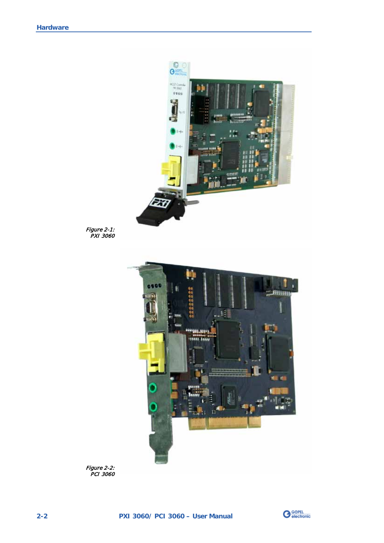

Figure 2-1: PXI 3060



Figure 2-2: PCI 3060

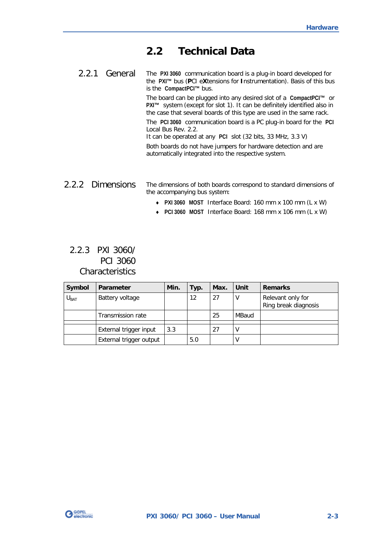## <span id="page-8-0"></span>**2.2 Technical Data**

<span id="page-8-1"></span>The **PXI 3060** communication board is a plug-in board developed for the **PXI™** bus (**P**CI e**X**tensions for **I**nstrumentation). Basis of this bus is the **CompactPCI™** bus. 2.2.1 General

> The board can be plugged into any desired slot of a **CompactPCI™** or **PXI™** system (except for slot 1). It can be definitely identified also in the case that several boards of this type are used in the same rack. The **PCI 3060** communication board is a PC plug-in board for the **PCI** Local Bus Rev. 2.2.

It can be operated at any **PCI** slot (32 bits, 33 MHz, 3.3 V)

Both boards do not have jumpers for hardware detection and are automatically integrated into the respective system.

#### <span id="page-8-2"></span>The dimensions of both boards correspond to standard dimensions of the accompanying bus system: 2.2.2 Dimensions

- **PXI 3060 MOST** Interface Board: 160 mm x 100 mm (L x W)
- $\ddot{\phantom{a}}$ **PCI 3060 MOST** Interface Board: 168 mm x 106 mm (L x W)

### <span id="page-8-3"></span>2.2.3 PXI 3060/ PCI 3060 **Characteristics**

| Symbol    | Parameter               | Min. | Typ.              | Max. | Unit  | <b>Remarks</b>                            |
|-----------|-------------------------|------|-------------------|------|-------|-------------------------------------------|
| $U_{BAT}$ | Battery voltage         |      | $12 \overline{ }$ | 27   | ۷     | Relevant only for<br>Ring break diagnosis |
|           | Transmission rate       |      |                   | 25   | MBaud |                                           |
|           | External trigger input  | 3.3  |                   | 27   |       |                                           |
|           | External trigger output |      | 5.0               |      |       |                                           |

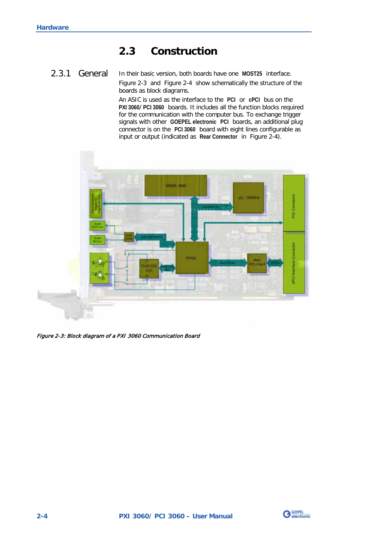## <span id="page-9-0"></span>**2.3 Construction**

#### <span id="page-9-1"></span>In their basic version, both boards have one **MOST25** interface. [Figure 2-3](#page-9-2) and [Figure 2-4](#page-10-1) show schematically the structure of the boards as block diagrams. 2.3.1 General

An ASIC is used as the interface to the **PCI** or **cPCI** bus on the **PXI 3060**/ **PCI 3060** boards. It includes all the function blocks required for the communication with the computer bus. To exchange trigger signals with other **GOEPEL electronic PCI** boards, an additional plug connector is on the **PCI 3060** board with eight lines configurable as input or output (indicated as **Rear Connector** in [Figure 2-4\)](#page-10-1).

<span id="page-9-2"></span>

Figure 2-3: Block diagram of a PXI 3060 Communication Board

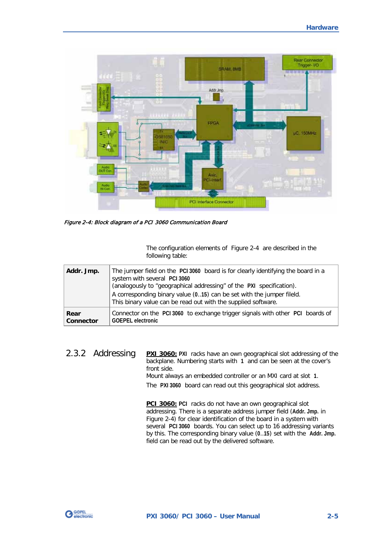

<span id="page-10-1"></span>Figure 2-4: Block diagram of a PCI 3060 Communication Board

The configuration elements of [Figure 2-4](#page-10-1) are described in the following table:

| Addr. Jmp. | The jumper field on the PCI 3060 board is for clearly identifying the board in a<br>system with several PCI 3060<br>(analogously to "geographical addressing" of the PXI specification).<br>A corresponding binary value (015) can be set with the jumper fileld.<br>This binary value can be read out with the supplied software. |
|------------|------------------------------------------------------------------------------------------------------------------------------------------------------------------------------------------------------------------------------------------------------------------------------------------------------------------------------------|
| Rear       | Connector on the PCI 3060 to exchange trigger signals with other PCI boards of                                                                                                                                                                                                                                                     |
| Connector  | <b>GOEPEL</b> electronic                                                                                                                                                                                                                                                                                                           |

<span id="page-10-0"></span>**PXI 3060:** PXI racks have an own geographical slot addressing of the The **PXI 3060** board can read out this geographical slot address. backplane. Numbering starts with **1** and can be seen at the cover's front side. Mount always an embedded controller or an MXI card at slot **1**. 2.3.2 Addressing

> **PCI 3060:** PCI racks do not have an own geographical slot [Figure 2-4](#page-10-1) ) for clear identification of the board in a system with addressing. There is a separate address jumper field (**Addr. Jmp.** in several **PCI 3060** boards. You can select up to 16 addressing variants by this. The corresponding binary value (**0**..**15**) set with the **Addr. Jmp.** field can be read out by the delivered software.

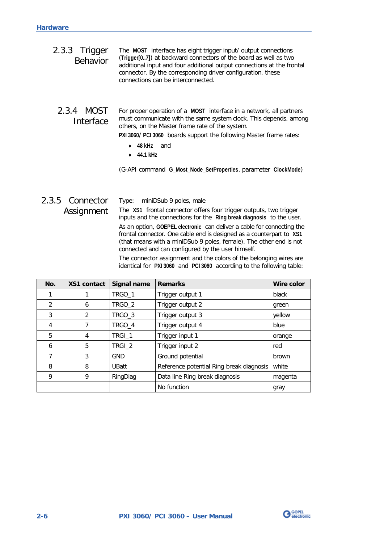<span id="page-11-1"></span><span id="page-11-0"></span>

| 2.3.3 Trigger<br><b>Behavior</b> | The MOST interface has eight trigger input/ output connections<br>(Trigger[07]) at backward connectors of the board as well as two<br>additional input and four additional output connections at the frontal<br>connector. By the corresponding driver configuration, these<br>connections can be interconnected. |
|----------------------------------|-------------------------------------------------------------------------------------------------------------------------------------------------------------------------------------------------------------------------------------------------------------------------------------------------------------------|
| 2.3.4 MOST<br>Interface          | For proper operation of a MOST interface in a network, all partners<br>must communicate with the same system clock. This depends, among<br>others, on the Master frame rate of the system.                                                                                                                        |
|                                  | PXI 3060/ PCI 3060 boards support the following Master frame rates:<br>48 kHz<br>and                                                                                                                                                                                                                              |
|                                  | 44.1 kHz<br>$\sim$                                                                                                                                                                                                                                                                                                |
|                                  | (G-API command G_Most_Node_SetProperties, parameter ClockMode)                                                                                                                                                                                                                                                    |

#### <span id="page-11-2"></span>Type: miniDSub 9 poles, male The **XS1** frontal connector offers four trigger outputs, two trigger inputs and the connections for the **Ring break diagnosis** to the user. As an option, **GOEPEL electronic** can deliver a cable for connecting the frontal connector. One cable end is designed as a counterpart to **XS1** (that means with a miniDSub 9 poles, female). The other end is not connected and can configured by the user himself. The connector assignment and the colors of the belonging wires are identical for **PXI 3060** and **PCI 3060** according to the following table: 2.3.5 Connector Assignment

| No. | <b>XS1 contact</b> | Signal name  | <b>Remarks</b>                           | Wire color |
|-----|--------------------|--------------|------------------------------------------|------------|
|     |                    | TRGO_1       | Trigger output 1                         | black      |
| 2   | 6                  | TRGO_2       | Trigger output 2                         | green      |
| 3   | 2                  | TRGO_3       | Trigger output 3                         | yellow     |
| 4   | 7                  | TRGO_4       | Trigger output 4                         | blue       |
| 5   | 4                  | TRGI_1       | Trigger input 1                          | orange     |
| 6   | 5                  | TRGI_2       | Trigger input 2                          | red        |
| 7   | 3                  | GND          | Ground potential                         | brown      |
| 8   | 8                  | <b>UBatt</b> | Reference potential Ring break diagnosis | white      |
| 9   | 9                  | RingDiag     | Data line Ring break diagnosis           | magenta    |
|     |                    |              | No function                              | gray       |

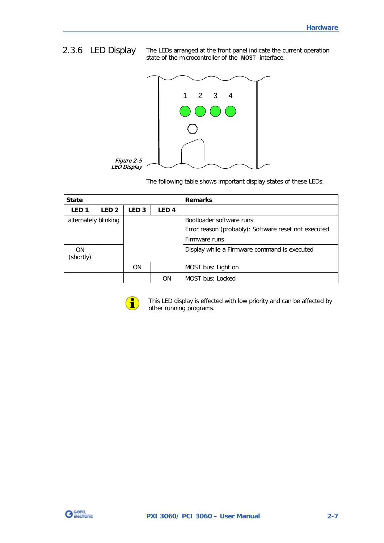## <span id="page-12-0"></span>2.3.6 LED Display

The LEDs arranged at the front panel indicate the current operation state of the microcontroller of the **MOST** interface.



The following table shows important display states of these LEDs:

| <b>State</b>         |                  |                  |                  | <b>Remarks</b>                                                                   |
|----------------------|------------------|------------------|------------------|----------------------------------------------------------------------------------|
| LED <sub>1</sub>     | LED <sub>2</sub> | LED <sub>3</sub> | LED <sub>4</sub> |                                                                                  |
| alternately blinking |                  |                  |                  | Bootloader software runs<br>Error reason (probably): Software reset not executed |
|                      |                  |                  |                  | Firmware runs                                                                    |
| 0N<br>(shortly)      |                  |                  |                  | Display while a Firmware command is executed                                     |
|                      |                  | <b>ON</b>        |                  | MOST bus: Light on                                                               |
|                      |                  |                  | ΟN               | <b>MOST bus: Locked</b>                                                          |



This LED display is effected with low priority and can be affected by other running programs.

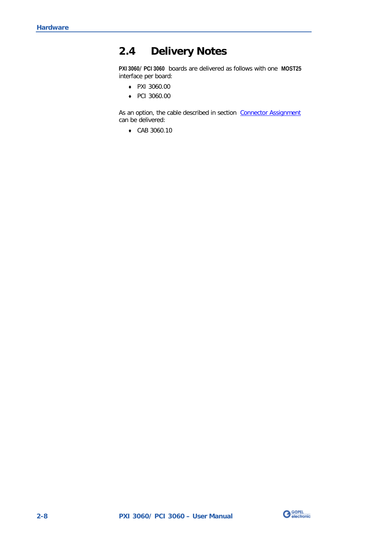## <span id="page-13-0"></span>**2.4 Delivery Notes**

**PXI 3060**/ **PCI 3060** boards are delivered as follows with one **MOST25** interface per board:

- $\omega$ PXI 3060.00
- $\degree$  PCI 3060.00

As an option, the cable described in section Connector Assignment can be delivered:

 $\omega_{\rm c}$ CAB 3060.10

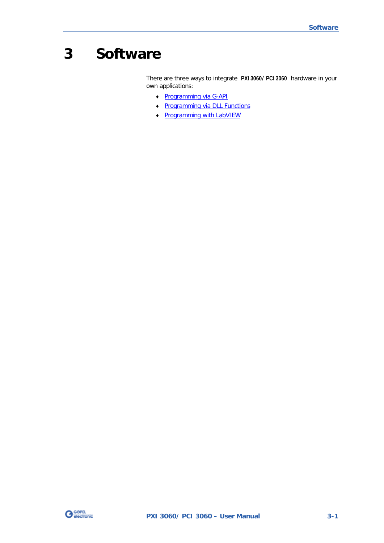## <span id="page-14-0"></span>**3 Software**

There are three ways to integrate **PXI 3060**/ **PCI 3060** hardware in your own applications:

- $\omega$ [Programming via G-API](#page-15-0)
- [Programming via DLL Functions](#page-16-0)   $\ddot{ }$
- [Programming with LabVIEW](#page-22-0)  $\cdot$

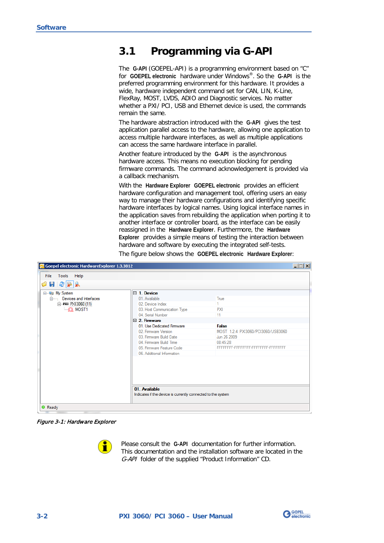## <span id="page-15-0"></span>**3.1 Programming via G-API**

The **G-API** (GOEPEL-API) is a programming environment based on "C" for **GOEPEL electronic** hardware under Windows®. So the **G-API** is the preferred programming environment for this hardware. It provides a wide, hardware independent command set for CAN, LIN, K-Line, FlexRay, MOST, LVDS, ADIO and Diagnostic services. No matter whether a PXI/ PCI, USB and Ethernet device is used, the commands remain the same.

The hardware abstraction introduced with the **G-API** gives the test application parallel access to the hardware, allowing one application to access multiple hardware interfaces, as well as multiple applications can access the same hardware interface in parallel.

Another feature introduced by the **G-API** is the asynchronous hardware access. This means no execution blocking for pending firmware commands. The command acknowledgement is provided via a callback mechanism.

With the **Hardware Explorer GOEPEL electronic** provides an efficient hardware configuration and management tool, offering users an easy way to manage their hardware configurations and identifying specific hardware interfaces by logical names. Using logical interface names in the application saves from rebuilding the application when porting it to another interface or controller board, as the interface can be easily reassigned in the **Hardware Explorer**. Furthermore, the **Hardware Explorer** provides a simple means of testing the interaction between hardware and software by executing the integrated self-tests.

The figure below shows the **GOEPEL electronic Hardware Explorer**:

| CI Goepel electronic HardwareExplorer 1.3.3812                                                |                                                                                                                                                                                                                                                                                                                |                                                                                                                                                  | $\Box$ $\Box$ $\times$ |
|-----------------------------------------------------------------------------------------------|----------------------------------------------------------------------------------------------------------------------------------------------------------------------------------------------------------------------------------------------------------------------------------------------------------------|--------------------------------------------------------------------------------------------------------------------------------------------------|------------------------|
| Tools Help<br><b>File</b><br>$H$ 2 $\sim$ $\sim$<br>Ó                                         |                                                                                                                                                                                                                                                                                                                |                                                                                                                                                  |                        |
| ⊟ <sup></sup> Li My System<br>in Devices and Interfaces<br>□ PXI PXI3060 (11)<br>$\Box$ MOST1 | $\boxminus$ 1. Device<br>01. Available<br>02. Device Index<br>03. Host Communication Type<br>04. Serial Number<br>$\boxminus$ 2. Firmware<br>01 Use Dedicated Firmware<br>02. Firmware Version<br>03. Firmware Build Date<br>04 Firmware Build Time<br>05. Firmware Feature Code<br>06. Additional Information | True<br><b>PXI</b><br>11<br><b>False</b><br>MOST 1.2.4 PXI3060/PCI3060/USB3060<br>Jun 26 2009<br>08:45:28<br>FFFFFFFF-FFFFFFFF-FFFFFFFFFFFFFFFFF |                        |
|                                                                                               | 01 Available<br>Indicates if the device is currently connected to the system                                                                                                                                                                                                                                   |                                                                                                                                                  |                        |
| $\bullet$ Ready                                                                               |                                                                                                                                                                                                                                                                                                                |                                                                                                                                                  |                        |

Figure 3-1: Hardware Explorer



Please consult the **G-API** documentation for further information. This documentation and the installation software are located in the G-API folder of the supplied "Product Information" CD.

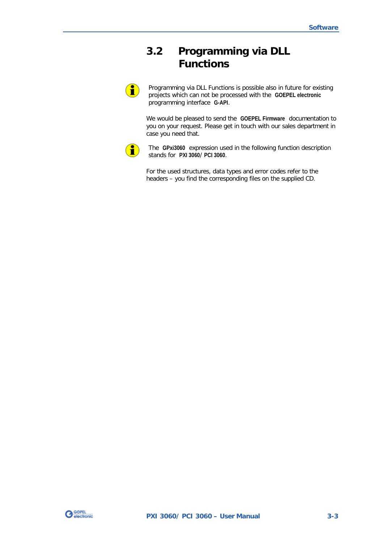## <span id="page-16-0"></span>**3.2 Programming via DLL Functions**

1

Programming via DLL Functions is possible also in future for existing projects which can not be processed with the **GOEPEL electronic** programming interface **G-API**.

We would be pleased to send the **GOEPEL Firmware** documentation to you on your request. Please get in touch with our sales department in case you need that.



The **GPxi3060** expression used in the following function description stands for **PXI 3060**/ **PCI 3060**.

For the used structures, data types and error codes refer to the headers – you find the corresponding files on the supplied CD.

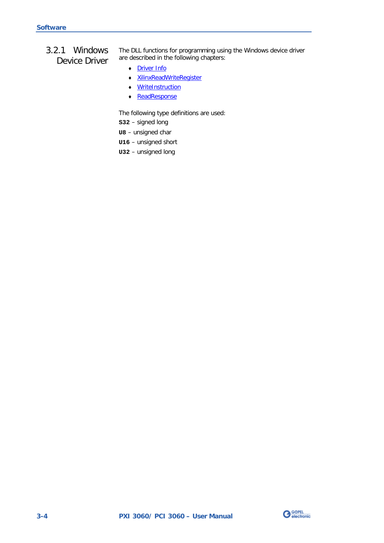### <span id="page-17-0"></span>3.2.1 Windows Device Driver

The DLL functions for programming using the Windows device driver are described in the following chapters:

 $\mathbb{Z}^d$ [Driver Info](#page-18-0) 

u,

- [XilinxReadWriteRegister](#page-19-0)   $\ddot{\phantom{a}}$
- **WriteInstruction**
- $\ddot{\phantom{a}}$ **ReadResponse**

The following type definitions are used:

**S32** – signed long

- **U8** unsigned char
- **U16** unsigned short
- **U32** unsigned long

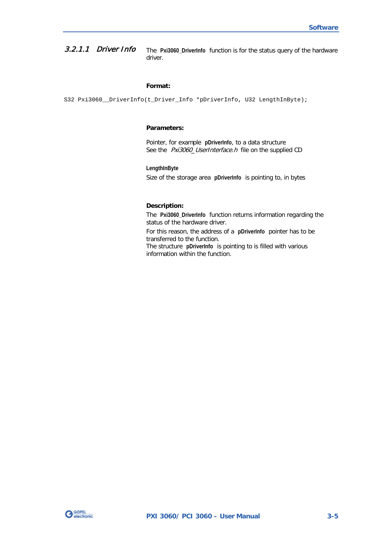#### <span id="page-18-0"></span>The **Pxi3060\_DriverInfo** function is for the status query of the hardware driver. 3.2.1.1 Driver Info

#### **Format:**

S32 Pxi3060\_\_DriverInfo(t\_Driver\_Info \*pDriverInfo, U32 LengthInByte);

#### **Parameters:**

Pointer, for example **pDriverInfo**, to a data structure See the Pxi3060\_UserInterface.h file on the supplied CD

#### **LengthInByte**

Size of the storage area **pDriverInfo** is pointing to, in bytes

#### **Description:**

The **Pxi3060\_DriverInfo** function returns information regarding the status of the hardware driver.

For this reason, the address of a **pDriverInfo** pointer has to be transferred to the function. The structure **pDriverInfo** is pointing to is filled with various information within the function.

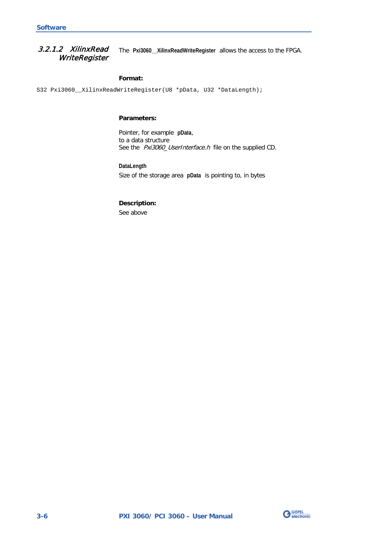<span id="page-19-0"></span>The **Pxi3060\_\_XilinxReadWriteRegister** allows the access to the FPGA. 3.2.1.2 XilinxRead **WriteRegister** 

#### **Format:**

S32 Pxi3060\_\_XilinxReadWriteRegister(U8 \*pData, U32 \*DataLength);

#### **Parameters:**

Pointer, for example **pData**, to a data structure See the Pxi3060\_UserInterface.h file on the supplied CD.

**DataLength** Size of the storage area **pData** is pointing to, in bytes

## **Description:**

See above

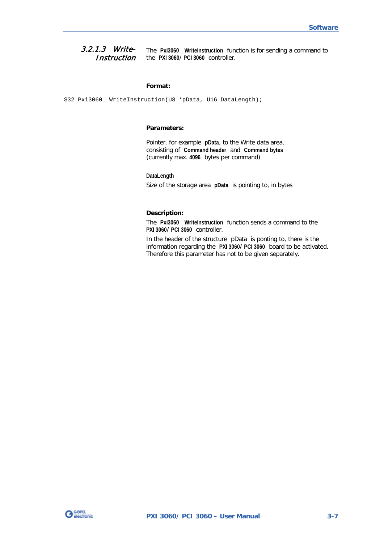<span id="page-20-1"></span><span id="page-20-0"></span>The **Pxi3060\_\_WriteInstruction** function is for sending a command to the **PXI 3060**/ **PCI 3060** controller. 3.2.1.3 Write-**Instruction** 

#### **Format:**

S32 Pxi3060\_\_WriteInstruction(U8 \*pData, U16 DataLength);

#### **Parameters:**

Pointer, for example **pData**, to the Write data area, consisting of **Command header** and **Command bytes** (currently max. **4096** bytes per command)

#### **DataLength**

Size of the storage area **pData** is pointing to, in bytes

#### **Description:**

The **Pxi3060\_\_WriteInstruction** function sends a command to the **PXI 3060**/ **PCI 3060** controller.

In the header of the structure pData is ponting to, there is the information regarding the **PXI 3060**/ **PCI 3060** board to be activated. Therefore this parameter has not to be given separately.

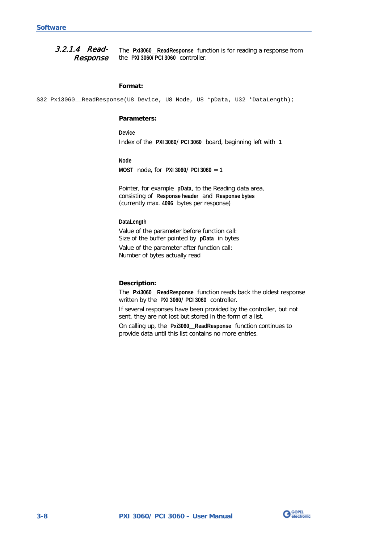<span id="page-21-0"></span>The **Pxi3060\_\_ReadResponse** function is for reading a response from the **PXI 3060/ PCI 3060** controller. 3.2.1.4 Read-Response

#### **Format:**

S32 Pxi3060\_ReadResponse(U8 Device, U8 Node, U8 \*pData, U32 \*DataLength);

#### **Parameters:**

**Device** Index of the **PXI 3060**/ **PCI 3060** board, beginning left with **1**

**Node**

**MOST** node, for **PXI 3060**/ **PCI 3060** = **1**

Pointer, for example **pData**, to the Reading data area, consisting of **Response header** and **Response bytes** (currently max. **4096** bytes per response)

#### **DataLength**

Value of the parameter before function call: Size of the buffer pointed by **pData** in bytes

Value of the parameter after function call: Number of bytes actually read

#### **Description:**

The **Pxi3060\_\_ReadResponse** function reads back the oldest response written by the **PXI 3060**/ **PCI 3060** controller.

If several responses have been provided by the controller, but not sent, they are not lost but stored in the form of a list.

On calling up, the **Pxi3060\_\_ReadResponse** function continues to provide data until this list contains no more entries.

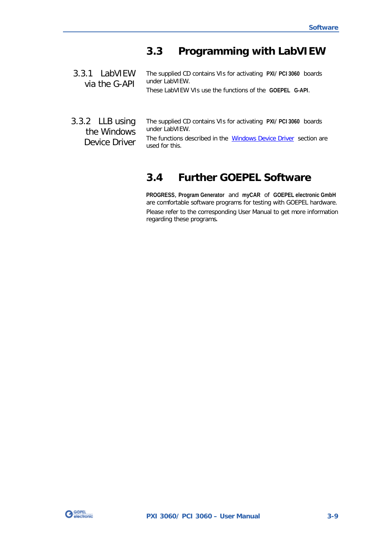## <span id="page-22-0"></span>**3.3 Programming with LabVIEW**

<span id="page-22-1"></span>The supplied CD contains VIs for activating **PXI**/ **PCI 3060** boards under LabVIEW. 3.3.1 LabVIEW via the G-API

These LabVIEW VIs use the functions of the **GOEPEL G-API**.

<span id="page-22-2"></span>The supplied CD contains VIs for activating **PXI**/ **PCI 3060** boards under LabVIEW. The functions described in the [Windows Device Driver](#page-17-0) section are 3.3.2 LLB using the Windows Device Driver

used for this.

## <span id="page-22-3"></span>**3.4 Further GOEPEL Software**

**PROGRESS**, **Program Generator** and **myCAR** of **GOEPEL electronic GmbH** are comfortable software programs for testing with GOEPEL hardware.

Please refer to the corresponding User Manual to get more information regarding these programs**.**